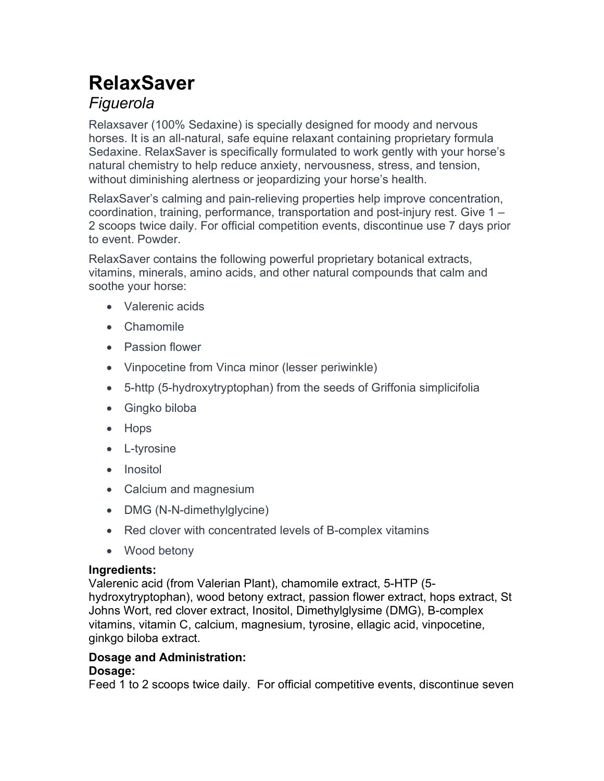# RelaxSaver Figuerola

Relaxsaver (100% Sedaxine) is specially designed for moody and nervous horses. It is an all-natural, safe equine relaxant containing proprietary formula Sedaxine. RelaxSaver is specifically formulated to work gently with your horse's natural chemistry to help reduce anxiety, nervousness, stress, and tension, without diminishing alertness or jeopardizing your horse's health.

RelaxSaver's calming and pain-relieving properties help improve concentration, coordination, training, performance, transportation and post-injury rest. Give 1 – 2 scoops twice daily. For official competition events, discontinue use 7 days prior to event. Powder.

RelaxSaver contains the following powerful proprietary botanical extracts, vitamins, minerals, amino acids, and other natural compounds that calm and soothe your horse:

- Valerenic acids
- Chamomile
- Passion flower
- Vinpocetine from Vinca minor (lesser periwinkle)
- 5-http (5-hydroxytryptophan) from the seeds of Griffonia simplicifolia
- Gingko biloba
- Hops
- L-tyrosine
- Inositol
- Calcium and magnesium
- DMG (N-N-dimethylglycine)
- Red clover with concentrated levels of B-complex vitamins
- Wood betony

### Ingredients:

Valerenic acid (from Valerian Plant), chamomile extract, 5-HTP (5 hydroxytryptophan), wood betony extract, passion flower extract, hops extract, St Johns Wort, red clover extract, Inositol, Dimethylglysime (DMG), B-complex vitamins, vitamin C, calcium, magnesium, tyrosine, ellagic acid, vinpocetine, ginkgo biloba extract.

## Dosage and Administration:

### Dosage:

Feed 1 to 2 scoops twice daily. For official competitive events, discontinue seven